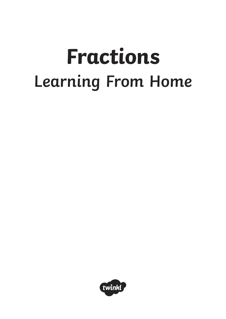# **Fractions Learning From Home**

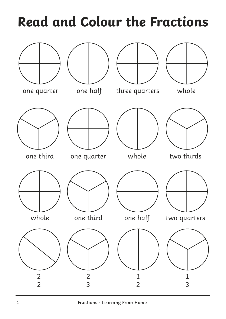### **Read and Colour the Fractions**

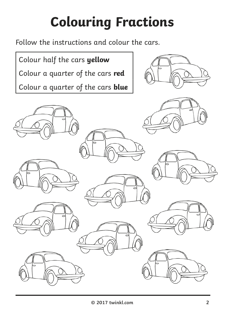## **Colouring Fractions**

Follow the instructions and colour the cars.

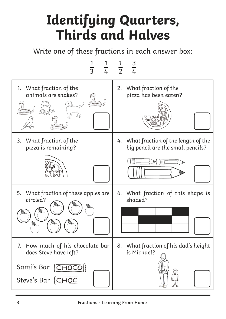#### **Identifying Quarters, Thirds and Halves**

Write one of these fractions in each answer box:

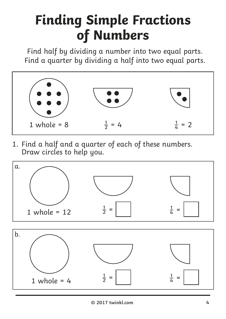#### **Finding Simple Fractions of Numbers**

Find half by dividing a number into two equal parts. Find a quarter by dividing a half into two equal parts.



1. Find a half and a quarter of each of these numbers. Draw circles to help you.

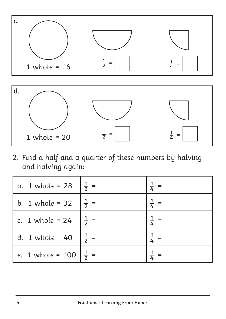

2. Find a half and a quarter of these numbers by halving and halving again:

| a. 1 whole = 28 $\frac{1}{2}$ = |                 | $\frac{1}{4}$   |
|---------------------------------|-----------------|-----------------|
| b. 1 whole = 32 $\frac{1}{2}$ = |                 |                 |
| c. 1 whole = $24$               | $rac{1}{2}$ =   | $\frac{1}{4}$   |
| d. 1 whole = $40$               | $\frac{1}{2}$ = | $\frac{1}{4}$ = |
| e. 1 whole = 100                |                 |                 |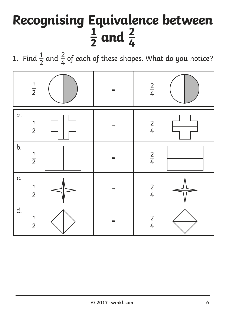## **Recognising Equivalence between**  $rac{1}{2}$  and  $rac{2}{4}$

1. Find  $\frac{1}{2}$  and  $\frac{2}{4}$  of each of these shapes. What do you notice?

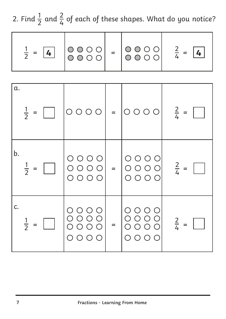2. Find  $\frac{1}{2}$  and  $\frac{2}{4}$  of each of these shapes. What do you notice? 

| $\frac{1}{2} = \boxed{4}$ |  |  |  | $\begin{bmatrix} 0 & 0 & 0 & 0 \\ 0 & 0 & 0 & 0 \end{bmatrix} = \begin{bmatrix} 0 & 0 & 0 & 0 \\ 0 & 0 & 0 & 0 \end{bmatrix} \quad \frac{2}{4} = \boxed{4}$ |
|---------------------------|--|--|--|-------------------------------------------------------------------------------------------------------------------------------------------------------------|
|---------------------------|--|--|--|-------------------------------------------------------------------------------------------------------------------------------------------------------------|